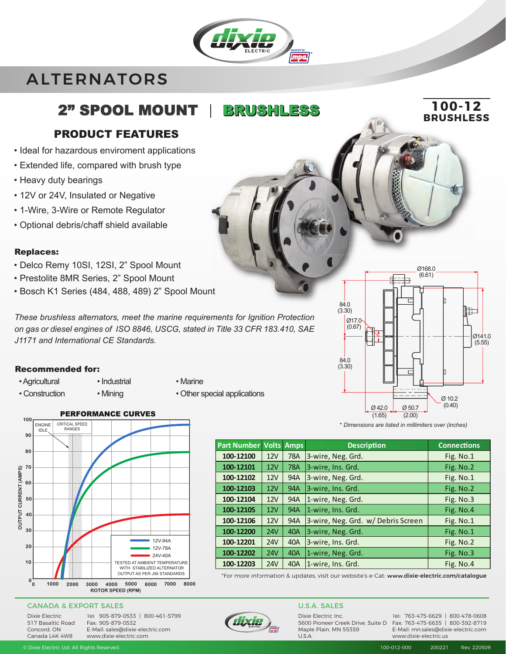# ALTERNATORS

## 2" SPOOL MOUNT | BRUSHLESS

### PRODUCT FEATURES

- Ideal for hazardous enviroment applications
- Extended life, compared with brush type
- Heavy duty bearings
- 12V or 24V, Insulated or Negative
- 1-Wire, 3-Wire or Remote Regulator
- Optional debris/chaff shield available

### Replaces:

- Delco Remy 10SI, 12SI, 2" Spool Mount
- Prestolite 8MR Series, 2" Spool Mount
- Bosch K1 Series (484, 488, 489) 2" Spool Mount

*These brushless alternators, meet the marine requirements for Ignition Protection on gas or diesel engines of ISO 8846, USCG, stated in Title 33 CFR 183.410, SAE J1171 and International CE Standards.*

### Recommended for:

• Agricultural • Industrial • Marine

- 
- Construction Mining Other special applications



#### CANADA & EXPORT SALES

Dixie Electric 517 Basaltic Road Concord, ON Canada L4K 4W8

Tel: 905-879-0533 | 800-461-5799 Tel: Fax: 905-879-0532 E-Mail: sales@dixie-electric.com www.dixie-electric.com



Dixie Electric Inc. Maple Plain, MN 55359 U.S.A.

5600 Pioneer Creek Drive, Suite D Fax: 763-475-6635 | 800-392-8719 Tel: 763-475-6629 | 800-478-0608 E-Mail: mn.sales@dixie-electric.com

\* *Dimensions are listed in millimiters over (inches)* (2.00)

 $Q$  50.7

Ø 10.2 (0.40)

Ø168.0 (6.61)

 $Q$  42 $Q$ (1.65)

**100-12**

**BRUSHLESS**

Ø141.0  $(5.55)$ 

**Index** 

| <b>Part Number Volts</b> |            | <b>Amps</b> | <b>Description</b>                | <b>Connections</b> |
|--------------------------|------------|-------------|-----------------------------------|--------------------|
| 100-12100                | 12V        | <b>78A</b>  | 3-wire, Neg. Grd.                 | Fig. No.1          |
| 100-12101                | 12V        | <b>78A</b>  | 3-wire, Ins. Grd.                 | Fig. No.2          |
| 100-12102                | 12V        | 94A         | 3-wire, Neg. Grd.                 | Fig. No.1          |
| 100-12103                | 12V        | <b>94A</b>  | 3-wire, Ins. Grd.                 | Fig. No.2          |
| 100-12104                | 12V        | 94A         | 1-wire, Neg. Grd.                 | Fig. No.3          |
| 100-12105                | 12V        | <b>94A</b>  | 1-wire, Ins. Grd.                 | Fig. No.4          |
| 100-12106                | 12V        | 94A         | 3-wire, Neg. Grd. w/Debris Screen | Fig. No.1          |
| 100-12200                | 24V        | <b>40A</b>  | 3-wire, Neg. Grd.                 | Fig. No.1          |
| 100-12201                | 24V        | 40A         | 3-wire, Ins. Grd.                 | Fig. No.2          |
| 100-12202                | <b>24V</b> | <b>40A</b>  | 1-wire, Neg. Grd.                 | Fig. No.3          |
| 100-12203                | 24V        | 40A         | 1-wire, Ins. Grd.                 | Fig. No.4          |

Ø17.0 (0.67)

84.0 (3.30)

84.0 (3.30)

\*For more information & updates, visit our website's e-Cat: www.dixie-electric.com/catalogue

### U.S.A. SALES

www.dixie-electric.us